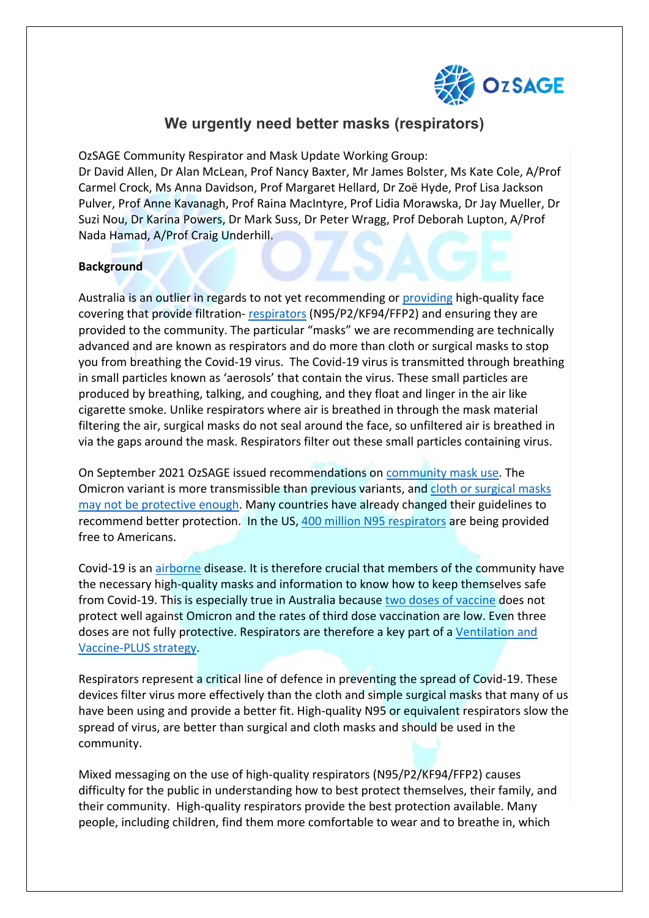

# **We urgently need better masks (respirators)**

OzSAGE Community Respirator and Mask Update Working Group: Dr David Allen, Dr Alan McLean, Prof Nancy Baxter, Mr James Bolster, Ms Kate Cole, A/Prof Carmel Crock, Ms Anna Davidson, Prof Margaret Hellard, Dr Zoë Hyde, Prof Lisa Jackson Pulver, Prof Anne Kavanagh, Prof Raina MacIntyre, Prof Lidia Morawska, Dr Jay Mueller, Dr Suzi Nou, Dr Karina Powers, Dr Mark Suss, Dr Peter Wragg, Prof Deborah Lupton, A/Prof Nada Hamad, A/Prof Craig Underhill.

### **Background**

Australia is an outlier in regards to not yet recommending or [providing](https://www.afr.com/world/asia/singapore-s-lessons-for-australia-on-rats-mask-distribution-20220113-p59nz1) high-quality face covering that provide filtration- [respirators](https://www.nbcdfw.com/news/coronavirus/free-n95-masks-arriving-at-pharmacies-stores-around-us/2867229/) (N95/P2/KF94/FFP2) and ensuring they are provided to the community. The particular "masks" we are recommending are technically advanced and are known as respirators and do more than cloth or surgical masks to stop you from breathing the Covid-19 virus. The Covid-19 virus is transmitted through breathing in small particles known as 'aerosols' that contain the virus. These small particles are produced by breathing, talking, and coughing, and they float and linger in the air like cigarette smoke. Unlike respirators where air is breathed in through the mask material filtering the air, surgical masks do not seal around the face, so unfiltered air is breathed in via the gaps around the mask. Respirators filter out these small particles containing virus.

On September 2021 OzSAGE issued recommendations on [community mask use.](https://ozsage.org/working_group/community-masks/) The Omicron variant is more transmissible than previous variants, and [cloth or surgical masks](https://theconversation.com/time-to-upgrade-from-cloth-and-surgical-masks-to-respirators-your-questions-answered-174877)  [may not be protective enough.](https://theconversation.com/time-to-upgrade-from-cloth-and-surgical-masks-to-respirators-your-questions-answered-174877) Many countries have already changed their guidelines to recommend better protection. In the US, [400 million N95 respirators](https://www.nbcnews.com/politics/white-house/white-house-says-it-will-distribute-400-million-free-n95-n1287672?cid=sm_npd_ms_tw_ma) are being provided free to Americans.

Covid-19 is an [airborne](https://onlinelibrary.wiley.com/doi/10.5694/mja2.51131) disease. It is therefore crucial that members of the community have the necessary high-quality masks and information to know how to keep themselves safe from Covid-19. This is especially true in Australia because [two doses of vaccine](https://erictopol.substack.com/p/where-do-we-stand-with-omicron) does not protect well against Omicron and the rates of third dose vaccination are low. Even three doses are not fully protective. Respirators are therefore a key part of a [Ventilation and](https://ozsage.org/ventilation-and-vaccine-plus/)  [Vaccine-PLUS strategy.](https://ozsage.org/ventilation-and-vaccine-plus/)

Respirators represent a critical line of defence in preventing the spread of Covid-19. These devices filter virus more effectively than the cloth and simple surgical masks that many of us have been using and provide a better fit. High-quality N95 or equivalent respirators slow the spread of virus, are better than surgical and cloth masks and should be used in the community.

Mixed messaging on the use of high-quality respirators (N95/P2/KF94/FFP2) causes difficulty for the public in understanding how to best protect themselves, their family, and their community. High-quality respirators provide the best protection available. Many people, including children, find them more comfortable to wear and to breathe in, which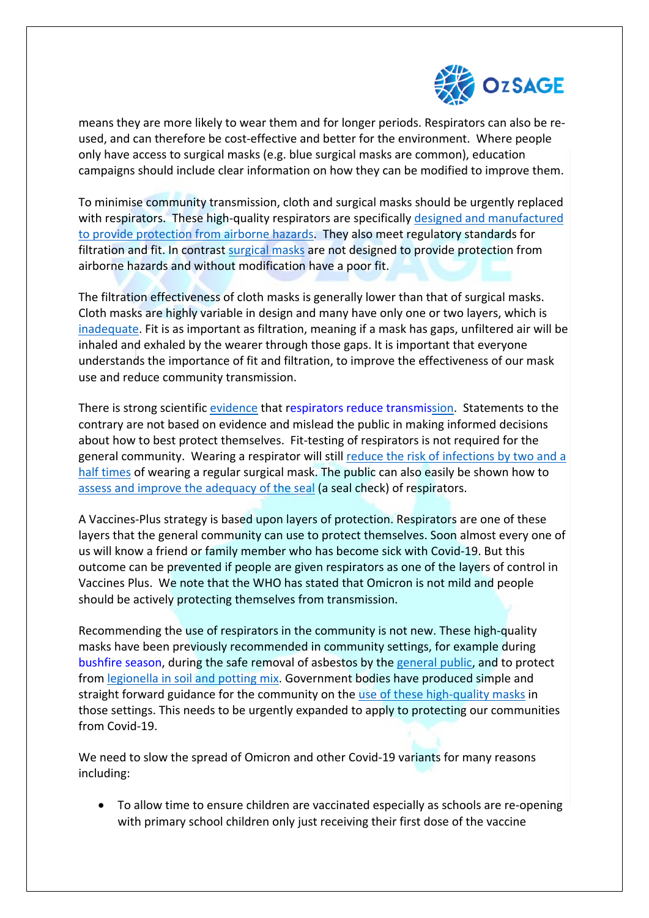

means they are more likely to wear them and for longer periods. Respirators can also be reused, and can therefore be cost-effective and better for the environment. Where people only have access to surgical masks (e.g. blue surgical masks are common), education campaigns should include clear information on how they can be modified to improve them.

To minimise community transmission, cloth and surgical masks should be urgently replaced with respirators. These high-quality respirators are specifically [designed and manufactured](https://infostore.saiglobal.com/en-au/standards/as-nzs-1716-2012-117495_saig_as_as_267665/)  [to provide protection from airborne hazards.](https://infostore.saiglobal.com/en-au/standards/as-nzs-1716-2012-117495_saig_as_as_267665/) They also meet regulatory standards for filtration and fit. In contrast [surgical masks](https://www.standards.org.au/standards-catalogue/sa-snz/health/he-013/as--4381-colon-2015) are not designed to provide protection from airborne hazards and without modification have a poor fit.

The filtration effectiveness of cloth masks is generally lower than that of surgical masks. Cloth masks are highly variable in design and many have only one or two layers, which is [inadequate.](https://theconversation.com/which-mask-works-best-we-filmed-people-coughing-and-sneezing-to-find-out-143173) Fit is as important as filtration, meaning if a mask has gaps, unfiltered air will be inhaled and exhaled by the wearer through those gaps. It is important that everyone understands the importance of fit and filtration, to improve the effectiveness of our mask use and reduce community transmission.

There is strong scientific [evidence](https://www.pnas.org/content/118/49/e2110117118) that [respirators reduce transmission.](https://theconversation.com/time-to-upgrade-from-cloth-and-surgical-masks-to-respirators-your-questions-answered-174877) Statements to the contrary are not based on evidence and mislead the public in making informed decisions about how to best protect themselves. Fit-testing of respirators is not required for the general community. Wearing a respirator will still [reduce the risk of infections by two and a](https://www.pnas.org/content/118/49/e2110117118)  [half times](https://www.pnas.org/content/118/49/e2110117118) of wearing a regular surgical mask. The public can also easily be shown how to [assess and improve the adequacy of the seal](https://www.youtube.com/watch?v=9hgZKABt9QM) (a seal check) of respirators.

A Vaccines-Plus strategy is based upon layers of protection. Respirators are one of these layers that the general community can use to protect themselves. Soon almost every one of us will know a friend or family member who has become sick with Covid-19. But this outcome can be prevented if people are given respirators as one of the layers of control in Vaccines Plus. We note that the WHO has stated that Omicron is not mild and people should be actively protecting themselves from transmission.

Recommending the use of respirators in the community is not new. These high-quality masks have been previously recommended in community settings, for example during [bushfire season,](https://www.health.nsw.gov.au/environment/air/documents/protect-yourself-from-bushfire-smoke.pdf%22%20HYPERLINK%20%22https:/www.health.nsw.gov.au/environment/air/documents/protect-yourself-from-bushfire-smoke.pdf) during the safe removal of asbestos by the [general public,](https://www1.health.gov.au/internet/main/publishing.nsf/Content/ohp-enhealth-asbestos-may2012.htm/$File/asbestos-feb13.pdf) and to protect from [legionella in soil and potting mix.](https://www.health.nsw.gov.au/Infectious/legionnaires/Pages/default.aspx) Government bodies have produced simple and straight forward guidance for the community on the [use of these high-quality masks](https://www.health.nsw.gov.au/environment/air/documents/protect-yourself-from-bushfire-smoke.pdf) in those settings. This needs to be urgently expanded to apply to protecting our communities from Covid-19.

We need to slow the spread of Omicron and other Covid-19 variants for many reasons including:

• To allow time to ensure children are vaccinated especially as schools are re-opening with primary school children only just receiving their first dose of the vaccine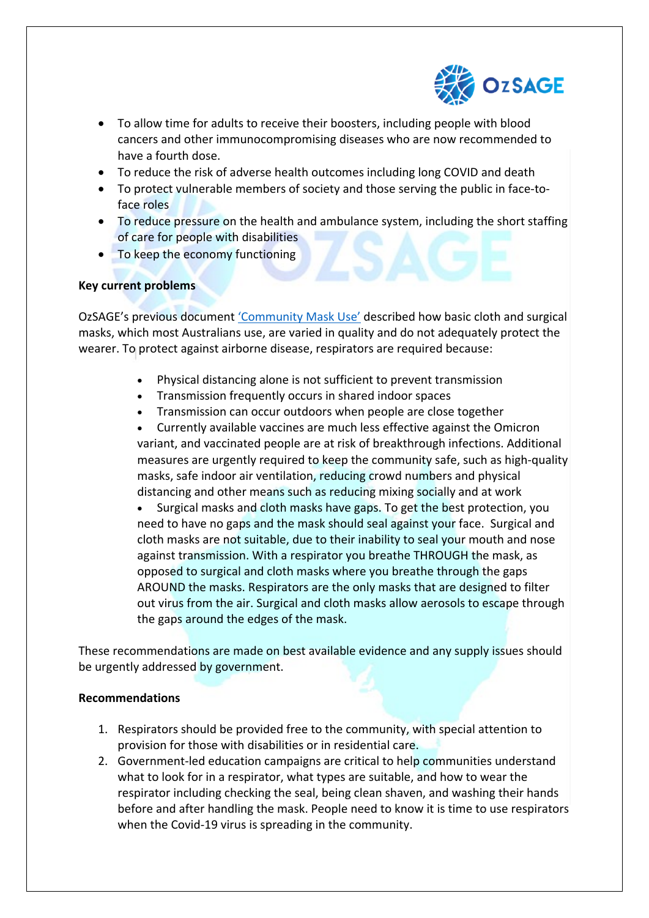

- To allow time for adults to receive their boosters, including people with blood cancers and other immunocompromising diseases who are now recommended to have a fourth dose.
- To reduce the risk of adverse health outcomes including long COVID and death
- To protect vulnerable members of society and those serving the public in face-toface roles
- To reduce pressure on the health and ambulance system, including the short staffing of care for people with disabilities
- To keep the economy functioning

## **Key current problems**

OzSAGE's previous document ['Community Mask Use'](https://ozsage.org/wp-content/uploads/2021/09/OzSage-Masks1-4.pdf) described how basic cloth and surgical masks, which most Australians use, are varied in quality and do not adequately protect the wearer. To protect against airborne disease, respirators are required because:

- Physical distancing alone is not sufficient to prevent transmission
- Transmission frequently occurs in shared indoor spaces
- Transmission can occur outdoors when people are close together
- Currently available vaccines are much less effective against the Omicron variant, and vaccinated people are at risk of breakthrough infections. Additional measures are urgently required to keep the community safe, such as high-quality masks, safe indoor air ventilation, reducing crowd numbers and physical distancing and other means such as reducing mixing socially and at work

• Surgical masks and cloth masks have gaps. To get the best protection, you need to have no gaps and the mask should seal against your face. Surgical and cloth masks are not suitable, due to their inability to seal your mouth and nose against transmission. With a respirator you breathe THROUGH the mask, as opposed to surgical and cloth masks where you breathe through the gaps AROUND the masks. Respirators are the only masks that are designed to filter out virus from the air. Surgical and cloth masks allow aerosols to escape through the gaps around the edges of the mask.

These recommendations are made on best available evidence and any supply issues should be urgently addressed by government.

### **Recommendations**

- 1. Respirators should be provided free to the community, with special attention to provision for those with disabilities or in residential care.
- 2. Government-led education campaigns are critical to help communities understand what to look for in a respirator, what types are suitable, and how to wear the respirator including checking the seal, being clean shaven, and washing their hands before and after handling the mask. People need to know it is time to use respirators when the Covid-19 virus is spreading in the community.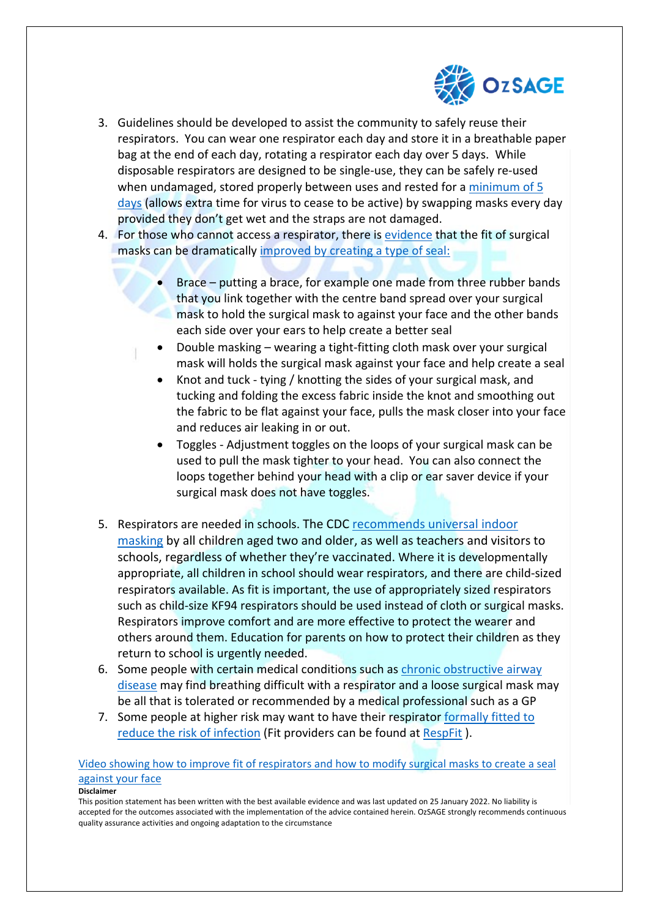

- 3. Guidelines should be developed to assist the community to safely reuse their respirators. You can wear one respirator each day and store it in a breathable paper bag at the end of each day, rotating a respirator each day over 5 days. While disposable respirators are designed to be single-use, they can be safely re-used when undamaged, stored properly between uses and rested for a [minimum of 5](https://www.ncbi.nlm.nih.gov/pmc/articles/PMC7121658/)  [days](https://www.ncbi.nlm.nih.gov/pmc/articles/PMC7121658/) (allows extra time for virus to cease to be active) by swapping masks every day provided they don't get wet and the straps are not damaged.
- 4. For those who cannot access a respirator, there is [evidence](https://www.sciencedirect.com/science/article/pii/S019665532100715X) that the fit of surgical masks can be dramatically improved by creating a type of seal:
	- Brace putting a brace, for example one made from three rubber bands that you link together with the centre band spread over your surgical mask to hold the surgical mask to against your face and the other bands each side over your ears to help create a better seal
	- Double masking wearing a tight-fitting cloth mask over your surgical mask will holds the surgical mask against your face and help create a seal
		- Knot and tuck tying / knotting the sides of your surgical mask, and tucking and folding the excess fabric inside the knot and smoothing out the fabric to be flat against your face, pulls the mask closer into your face and reduces air leaking in or out.
		- Toggles Adjustment toggles on the loops of your surgical mask can be used to pull the mask tighter to your head. You can also connect the loops together behind your head with a clip or ear saver device if your surgical mask does not have toggles.
- 5. Respirators are needed in schools. The CDC recommends universal indoor masking by all children aged two and older, as well as teachers and visitors to schools, regardless of whether they're vaccinated. Where it is developmentally appropriate, all children in school should wear respirators, and there are child-sized respirators available. As fit is important, the use of appropriately sized respirators such as child-size KF94 respirators should be used instead of cloth or surgical masks. Respirators improve comfort and are more effective to protect the wearer and others around them. Education for parents on how to protect their children as they return to school is urgently needed.
- 6. Some people with certain medical conditions such as [chronic obstructive airway](http://rc.rcjournal.com/content/65/5/658)  [disease](http://rc.rcjournal.com/content/65/5/658) may find breathing difficult with a respirator and a loose surgical mask may be all that is tolerated or recommended by a medical professional such as a GP
- 7. Some people at higher risk may want to have their respirator formally fitted to [reduce the risk of infection](https://www.pnas.org/content/118/49/e2110117118#sec-7) (Fit providers can be found at [RespFit](https://respfit.org.au/find-a-fit-tester/) ).

#### [Video showing how to improve fit of respirators and how to modify surgical masks to create a seal](https://www.youtube.com/watch?v=9hgZKABt9QM)  [against your face](https://www.youtube.com/watch?v=9hgZKABt9QM)

#### **Disclaimer**

This position statement has been written with the best available evidence and was last updated on 25 January 2022. No liability is accepted for the outcomes associated with the implementation of the advice contained herein. OzSAGE strongly recommends continuous quality assurance activities and ongoing adaptation to the circumstance